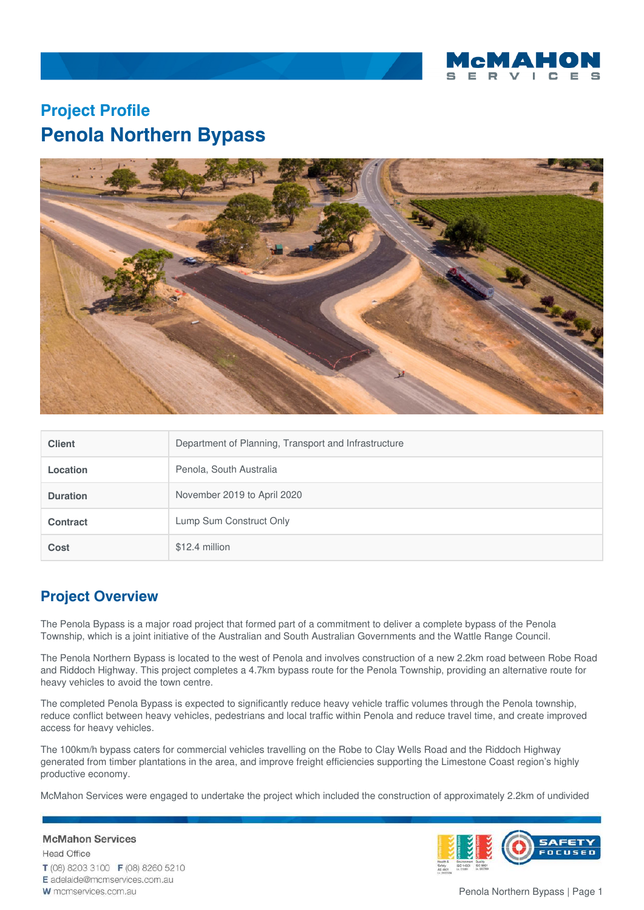

## **Project Profile Penola Northern Bypass**



| <b>Client</b>   | Department of Planning, Transport and Infrastructure |
|-----------------|------------------------------------------------------|
| <b>Location</b> | Penola, South Australia                              |
| <b>Duration</b> | November 2019 to April 2020                          |
| <b>Contract</b> | Lump Sum Construct Only                              |
| Cost            | \$12.4 million                                       |

## **Project Overview**

The Penola Bypass is a major road project that formed part of a commitment to deliver a complete bypass of the Penola Township, which is a joint initiative of the Australian and South Australian Governments and the Wattle Range Council.

The Penola Northern Bypass is located to the west of Penola and involves construction of a new 2.2km road between Robe Road and Riddoch Highway. This project completes a 4.7km bypass route for the Penola Township, providing an alternative route for heavy vehicles to avoid the town centre.

The completed Penola Bypass is expected to significantly reduce heavy vehicle traffic volumes through the Penola township, reduce conflict between heavy vehicles, pedestrians and local traffic within Penola and reduce travel time, and create improved access for heavy vehicles.

The 100km/h bypass caters for commercial vehicles travelling on the Robe to Clay Wells Road and the Riddoch Highway generated from timber plantations in the area, and improve freight efficiencies supporting the Limestone Coast region's highly productive economy.

McMahon Services were engaged to undertake the project which included the construction of approximately 2.2km of undivided

## **McMahon Services**

**Head Office** T (08) 8203 3100 F (08) 8260 5210 E adelaide@mcmservices.com.au W mcmservices.com.au

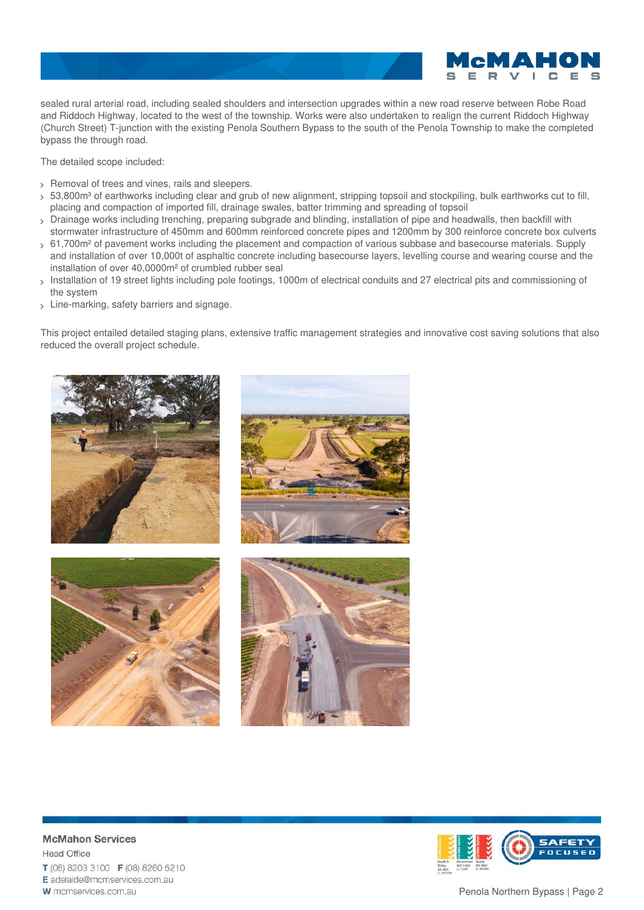sealed rural arterial road, including sealed shoulders and intersection upgrades within a new road reserve between Robe Road and Riddoch Highway, located to the west of the township. Works were also undertaken to realign the current Riddoch Highway (Church Street) T-junction with the existing Penola Southern Bypass to the south of the Penola Township to make the completed bypass the through road.

The detailed scope included:

- $>$  Removal of trees and vines, rails and sleepers.
- $>53,800$ mª of earthworks including clear and grub of new alignment, stripping topsoil and stockpiling, bulk earthworks cut to fill, placing and compaction of imported fill, drainage swales, batter trimming and spreading of topsoil
- Drainage works including trenching, preparing subgrade and blinding, installation of pipe and headwalls, then backfill with stormwater infrastructure of 450mm and 600mm reinforced concrete pipes and 1200mm by 300 reinforce concrete box culverts
- $>61,700$ m<sup>2</sup> of pavement works including the placement and compaction of various subbase and basecourse materials. Supply and installation of over 10,000t of asphaltic concrete including basecourse layers, levelling course and wearing course and the installation of over 40,0000m² of crumbled rubber seal
- Installation of 19 street lights including pole footings, 1000m of electrical conduits and 27 electrical pits and commissioning of the system
- > Line-marking, safety barriers and signage.

This project entailed detailed staging plans, extensive traffic management strategies and innovative cost saving solutions that also reduced the overall project schedule.





**McMahon Services Head Office** T (08) 8203 3100 F (08) 8260 5210 E adelaide@mcmservices.com.au W mcmservices.com.au